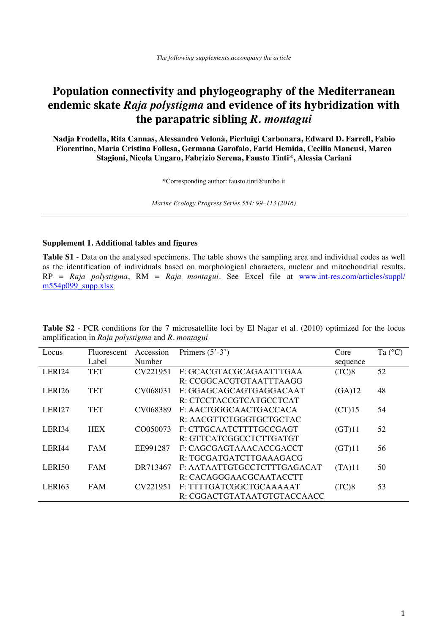# **Population connectivity and phylogeography of the Mediterranean endemic skate** *Raja polystigma* **and evidence of its hybridization with the parapatric sibling** *R. montagui*

**Nadja Frodella, Rita Cannas, Alessandro Velonà, Pierluigi Carbonara, Edward D. Farrell, Fabio Fiorentino, Maria Cristina Follesa, Germana Garofalo, Farid Hemida, Cecilia Mancusi, Marco Stagioni, Nicola Ungaro, Fabrizio Serena, Fausto Tinti\*, Alessia Cariani** 

\*Corresponding author: fausto.tinti@unibo.it

*Marine Ecology Progress Series 554: 99–113 (2016)* 

### **Supplement 1. Additional tables and figures**

**Table S1** - Data on the analysed specimens. The table shows the sampling area and individual codes as well as the identification of individuals based on morphological characters, nuclear and mitochondrial results. RP = *Raja polystigma*, RM = *Raja montagui*. See Excel file at [www.int-res.com/articles/suppl/](http://www.int-res.com/articles/suppl/m554p099_supp.xlsx)   $m554p099$  supp.xlsx

| Locus  | <b>Fluorescent</b> | Accession | Primers $(5' - 3')$         | Core     | Ta $(^{\circ}C)$ |
|--------|--------------------|-----------|-----------------------------|----------|------------------|
|        | Label              | Number    |                             | sequence |                  |
| LERI24 | <b>TET</b>         | CV221951  | F: GCACGTACGCAGAATTTGAA     | (TC)8    | 52               |
|        |                    |           | R: CCGGCACGTGTAATTTAAGG     |          |                  |
| LERI26 | <b>TET</b>         | CV068031  | F: GGAGCAGCAGTGAGGACAAT     | (GA)12   | 48               |
|        |                    |           | R: CTCCTACCGTCATGCCTCAT     |          |                  |
| LERI27 | <b>TET</b>         | CV068389  | F: AACTGGGCAACTGACCACA      | (CT)15   | 54               |
|        |                    |           | R: AACGTTCTGGGTGCTGCTAC     |          |                  |
| LERI34 | <b>HEX</b>         | CO050073  | F: CTTGCAATCTTTTGCCGAGT     | (GT)11   | 52               |
|        |                    |           | R: GTTCATCGGCCTCTTGATGT     |          |                  |
| LERI44 | <b>FAM</b>         | EE991287  | F: CAGCGAGTAAACACCGACCT     | (GT)11   | 56               |
|        |                    |           | R: TGCGATGATCTTGAAAGACG     |          |                  |
| LERI50 | <b>FAM</b>         | DR713467  | F: AATAATTGTGCCTCTTTGAGACAT | (TA)11   | 50               |
|        |                    |           | R: CACAGGGAACGCAATACCTT     |          |                  |
| LERI63 | <b>FAM</b>         | CV221951  | F: TTTTGATCGGCTGCAAAAAT     | (TC)8    | 53               |
|        |                    |           | R: CGGACTGTATAATGTGTACCAACC |          |                  |

**Table S2** - PCR conditions for the 7 microsatellite loci by El Nagar et al. (2010) optimized for the locus amplification in *Raja polystigma* and *R. montagui*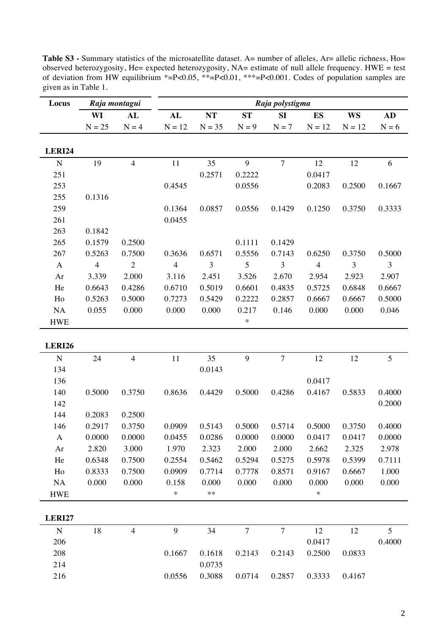|               |                | Raja montagui  | Raja polystigma |                  |                |                |                |           |         |  |  |  |
|---------------|----------------|----------------|-----------------|------------------|----------------|----------------|----------------|-----------|---------|--|--|--|
| Locus         |                |                |                 |                  |                |                |                |           |         |  |  |  |
|               | WI             | <b>AL</b>      | AL              | NT               | <b>ST</b>      | SI             | <b>ES</b>      | <b>WS</b> | AD      |  |  |  |
|               | $N = 25$       | $N = 4$        | $N = 12$        | $N = 35$         | $N = 9$        | $N = 7$        | $N = 12$       | $N = 12$  | $N = 6$ |  |  |  |
| LERI24        |                |                |                 |                  |                |                |                |           |         |  |  |  |
| ${\bf N}$     | 19             | $\overline{4}$ | 11              | 35               | 9              | $\overline{7}$ | 12             | 12        | 6       |  |  |  |
| 251           |                |                |                 | 0.2571           | 0.2222         |                | 0.0417         |           |         |  |  |  |
| 253           |                |                | 0.4545          |                  | 0.0556         |                | 0.2083         | 0.2500    | 0.1667  |  |  |  |
| 255           | 0.1316         |                |                 |                  |                |                |                |           |         |  |  |  |
| 259           |                |                | 0.1364          | 0.0857           | 0.0556         | 0.1429         | 0.1250         | 0.3750    | 0.3333  |  |  |  |
| 261           |                |                | 0.0455          |                  |                |                |                |           |         |  |  |  |
| 263           | 0.1842         |                |                 |                  |                |                |                |           |         |  |  |  |
| 265           | 0.1579         | 0.2500         |                 |                  | 0.1111         | 0.1429         |                |           |         |  |  |  |
| 267           | 0.5263         | 0.7500         | 0.3636          | 0.6571           | 0.5556         | 0.7143         | 0.6250         | 0.3750    | 0.5000  |  |  |  |
| $\mathbf{A}$  | $\overline{4}$ | $\overline{2}$ | $\overline{4}$  | 3                | 5              | 3              | $\overline{4}$ | 3         | 3       |  |  |  |
| Ar            | 3.339          | 2.000          | 3.116           | 2.451            | 3.526          | 2.670          | 2.954          | 2.923     | 2.907   |  |  |  |
| He            | 0.6643         | 0.4286         | 0.6710          | 0.5019           | 0.6601         | 0.4835         | 0.5725         | 0.6848    | 0.6667  |  |  |  |
| Ho            | 0.5263         | 0.5000         | 0.7273          | 0.5429           | 0.2222         | 0.2857         | 0.6667         | 0.6667    | 0.5000  |  |  |  |
| NA            | 0.055          | 0.000          | 0.000           | 0.000            | 0.217          | 0.146          | 0.000          | 0.000     | 0.046   |  |  |  |
| <b>HWE</b>    |                |                |                 |                  | $\ast$         |                |                |           |         |  |  |  |
| <b>LERI26</b> |                |                |                 |                  |                |                |                |           |         |  |  |  |
| $\mathbf N$   | 24             | $\overline{4}$ | 11              | 35               | 9              | $\tau$         | 12             | 12        | 5       |  |  |  |
| 134           |                |                |                 | 0.0143           |                |                |                |           |         |  |  |  |
| 136           |                |                |                 |                  |                |                | 0.0417         |           |         |  |  |  |
| 140           | 0.5000         | 0.3750         | 0.8636          | 0.4429           | 0.5000         | 0.4286         | 0.4167         | 0.5833    | 0.4000  |  |  |  |
| 142           |                |                |                 |                  |                |                |                |           | 0.2000  |  |  |  |
| 144           | 0.2083         | 0.2500         |                 |                  |                |                |                |           |         |  |  |  |
| 146           | 0.2917         | 0.3750         | 0.0909          | 0.5143           | 0.5000         | 0.5714         | 0.5000         | 0.3750    | 0.4000  |  |  |  |
| $\mathbf{A}$  | 0.0000         | 0.0000         | 0.0455          | 0.0286           | 0.0000         | 0.0000         | 0.0417         | 0.0417    | 0.0000  |  |  |  |
| Ar            | 2.820          | 3.000          | 1.970           | 2.323            | 2.000          | 2.000          | 2.662          | 2.325     | 2.978   |  |  |  |
| He            | 0.6348         | 0.7500         | 0.2554          | 0.5462           | 0.5294         | 0.5275         | 0.5978         | 0.5399    | 0.7111  |  |  |  |
| Ho            | 0.8333         | 0.7500         | 0.0909          | 0.7714           | 0.7778         | 0.8571         | 0.9167         | 0.6667    | 1.000   |  |  |  |
| NA            | 0.000          | 0.000          | 0.158           | 0.000            | 0.000          | 0.000          | 0.000          | 0.000     | 0.000   |  |  |  |
| <b>HWE</b>    |                |                | $\ast$          | **               |                |                | $\ast$         |           |         |  |  |  |
| <b>LERI27</b> |                |                |                 |                  |                |                |                |           |         |  |  |  |
| $\mathbf N$   | 18             | $\overline{4}$ | 9               | 34               | $\overline{7}$ | $\overline{7}$ | 12             | 12        | 5       |  |  |  |
| 206           |                |                |                 |                  |                |                | 0.0417         |           | 0.4000  |  |  |  |
|               |                |                |                 |                  |                |                |                |           |         |  |  |  |
|               |                |                |                 |                  |                |                |                |           |         |  |  |  |
| 208<br>214    |                |                | 0.1667          | 0.1618<br>0.0735 | 0.2143         | 0.2143         | 0.2500         | 0.0833    |         |  |  |  |

Table S3 - Summary statistics of the microsatellite dataset. A= number of alleles, Ar= allelic richness, Ho= observed heterozygosity, He= expected heterozygosity, NA= estimate of null allele frequency. HWE = test of deviation from HW equilibrium \*=P<0.05, \*\*=P<0.01, \*\*\*=P<0.001. Codes of population samples are in Table 1.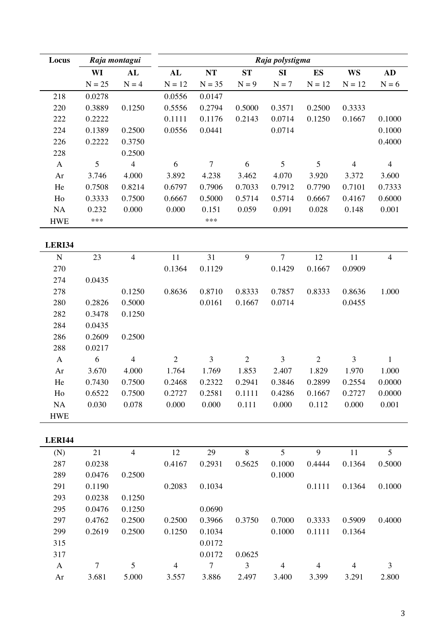| Locus        |          | Raja montagui  | Raja polystigma |                |                |                |                |                |                |  |  |
|--------------|----------|----------------|-----------------|----------------|----------------|----------------|----------------|----------------|----------------|--|--|
|              | WI       | AL             | AL              | $\bf NT$       | <b>ST</b>      | SI             | ES             | <b>WS</b>      | AD             |  |  |
|              | $N = 25$ | $N = 4$        | $N = 12$        | $N = 35$       | $N = 9$        | $N = 7$        | $N = 12$       | $N = 12$       | $N = 6$        |  |  |
| 218          | 0.0278   |                | 0.0556          | 0.0147         |                |                |                |                |                |  |  |
| 220          | 0.3889   | 0.1250         | 0.5556          | 0.2794         | 0.5000         | 0.3571         | 0.2500         | 0.3333         |                |  |  |
| 222          | 0.2222   |                | 0.1111          | 0.1176         | 0.2143         | 0.0714         | 0.1250         | 0.1667         | 0.1000         |  |  |
| 224          | 0.1389   | 0.2500         | 0.0556          | 0.0441         |                | 0.0714         |                |                | 0.1000         |  |  |
| 226          | 0.2222   | 0.3750         |                 |                |                |                |                |                | 0.4000         |  |  |
| 228          |          | 0.2500         |                 |                |                |                |                |                |                |  |  |
| $\mathbf{A}$ | 5        | $\overline{4}$ | 6               | $\overline{7}$ | 6              | $\sqrt{5}$     | 5              | $\overline{4}$ | $\overline{4}$ |  |  |
| Ar           | 3.746    | 4.000          | 3.892           | 4.238          | 3.462          | 4.070          | 3.920          | 3.372          | 3.600          |  |  |
| He           | 0.7508   | 0.8214         | 0.6797          | 0.7906         | 0.7033         | 0.7912         | 0.7790         | 0.7101         | 0.7333         |  |  |
| Ho           | 0.3333   | 0.7500         | 0.6667          | 0.5000         | 0.5714         | 0.5714         | 0.6667         | 0.4167         | 0.6000         |  |  |
| NA           | 0.232    | 0.000          | 0.000           | 0.151          | 0.059          | 0.091          | 0.028          | 0.148          | 0.001          |  |  |
| <b>HWE</b>   | ***      |                |                 | ***            |                |                |                |                |                |  |  |
|              |          |                |                 |                |                |                |                |                |                |  |  |
| LERI34       |          |                |                 |                |                |                |                |                |                |  |  |
| ${\bf N}$    | 23       | $\overline{4}$ | 11              | 31             | 9              | $\overline{7}$ | 12             | 11             | $\overline{4}$ |  |  |
| 270          |          |                | 0.1364          | 0.1129         |                | 0.1429         | 0.1667         | 0.0909         |                |  |  |
| 274          | 0.0435   |                |                 |                |                |                |                |                |                |  |  |
| 278          |          | 0.1250         | 0.8636          | 0.8710         | 0.8333         | 0.7857         | 0.8333         | 0.8636         | 1.000          |  |  |
| 280          | 0.2826   | 0.5000         |                 | 0.0161         | 0.1667         | 0.0714         |                | 0.0455         |                |  |  |
| 282          | 0.3478   | 0.1250         |                 |                |                |                |                |                |                |  |  |
| 284          | 0.0435   |                |                 |                |                |                |                |                |                |  |  |
| 286          | 0.2609   | 0.2500         |                 |                |                |                |                |                |                |  |  |
| 288          | 0.0217   |                |                 |                |                |                |                |                |                |  |  |
| $\mathbf{A}$ | 6        | $\overline{4}$ | $\overline{2}$  | 3              | $\overline{2}$ | 3              | $\overline{2}$ | 3              | $\mathbf{1}$   |  |  |
| Ar           | 3.670    | 4.000          | 1.764           | 1.769          | 1.853          | 2.407          | 1.829          | 1.970          | 1.000          |  |  |
| He           | 0.7430   | 0.7500         | 0.2468          | 0.2322         | 0.2941         | 0.3846         | 0.2899         | 0.2554         | 0.0000         |  |  |
| Ho           | 0.6522   | 0.7500         | 0.2727          | 0.2581         | 0.1111         | 0.4286         | 0.1667         | 0.2727         | 0.0000         |  |  |
| NA           | 0.030    | 0.078          | 0.000           | 0.000          | 0.111          | 0.000          | 0.112          | 0.000          | 0.001          |  |  |
| <b>HWE</b>   |          |                |                 |                |                |                |                |                |                |  |  |
|              |          |                |                 |                |                |                |                |                |                |  |  |
| LERI44       |          |                |                 |                |                |                |                |                |                |  |  |
| (N)          | 21       | $\overline{4}$ | 12              | 29             | 8              | 5              | 9              | 11             | 5              |  |  |
| 287          | 0.0238   |                | 0.4167          | 0.2931         | 0.5625         | 0.1000         | 0.4444         | 0.1364         | 0.5000         |  |  |
| 289          | 0.0476   | 0.2500         |                 |                |                | 0.1000         |                |                |                |  |  |
| 291          | 0.1190   |                | 0.2083          | 0.1034         |                |                | 0.1111         | 0.1364         | 0.1000         |  |  |
| 293          | 0.0238   | 0.1250         |                 |                |                |                |                |                |                |  |  |
| 295          | 0.0476   | 0.1250         |                 | 0.0690         |                |                |                |                |                |  |  |
| 297          | 0.4762   | 0.2500         | 0.2500          | 0.3966         | 0.3750         | 0.7000         | 0.3333         | 0.5909         | 0.4000         |  |  |
| 299          | 0.2619   | 0.2500         | 0.1250          | 0.1034         |                | 0.1000         | 0.1111         | 0.1364         |                |  |  |
| 315          |          |                |                 | 0.0172         |                |                |                |                |                |  |  |
| 317          |          |                |                 | 0.0172         | 0.0625         |                |                |                |                |  |  |
| $\mathbf{A}$ | $\tau$   | 5              | $\overline{4}$  | $\overline{7}$ | 3              | $\overline{4}$ | $\overline{4}$ | $\overline{4}$ | 3              |  |  |
| Ar           | 3.681    | 5.000          | 3.557           | 3.886          | 2.497          | 3.400          | 3.399          | 3.291          | 2.800          |  |  |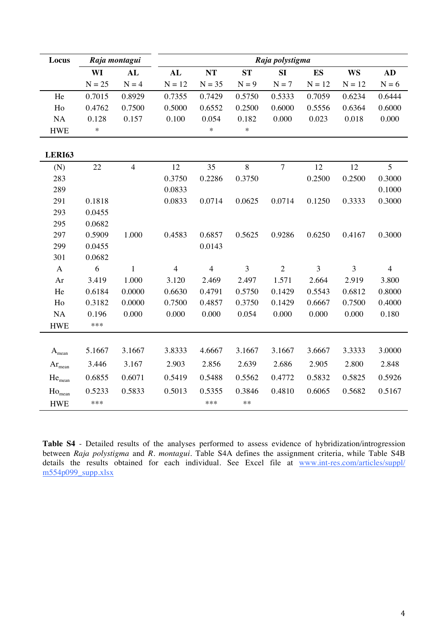| Locus                |          | Raja montagui  |                |                |           | Raja polystigma |           |           |                |
|----------------------|----------|----------------|----------------|----------------|-----------|-----------------|-----------|-----------|----------------|
|                      | WI       | AL             | AL             | NT             | <b>ST</b> | SI              | <b>ES</b> | <b>WS</b> | <b>AD</b>      |
|                      | $N = 25$ | $N = 4$        | $N = 12$       | $N = 35$       | $N = 9$   | $N = 7$         | $N = 12$  | $N = 12$  | $N = 6$        |
| He                   | 0.7015   | 0.8929         | 0.7355         | 0.7429         | 0.5750    | 0.5333          | 0.7059    | 0.6234    | 0.6444         |
| Ho                   | 0.4762   | 0.7500         | 0.5000         | 0.6552         | 0.2500    | 0.6000          | 0.5556    | 0.6364    | 0.6000         |
| NA                   | 0.128    | 0.157          | 0.100          | 0.054          | 0.182     | 0.000           | 0.023     | 0.018     | 0.000          |
| <b>HWE</b>           | $\ast$   |                |                | $\ast$         | $\ast$    |                 |           |           |                |
|                      |          |                |                |                |           |                 |           |           |                |
| <b>LERI63</b>        |          |                |                |                |           |                 |           |           |                |
| (N)                  | $22\,$   | $\overline{4}$ | 12             | 35             | 8         | $\overline{7}$  | 12        | 12        | 5              |
| 283                  |          |                | 0.3750         | 0.2286         | 0.3750    |                 | 0.2500    | 0.2500    | 0.3000         |
| 289                  |          |                | 0.0833         |                |           |                 |           |           | 0.1000         |
| 291                  | 0.1818   |                | 0.0833         | 0.0714         | 0.0625    | 0.0714          | 0.1250    | 0.3333    | 0.3000         |
| 293                  | 0.0455   |                |                |                |           |                 |           |           |                |
| 295                  | 0.0682   |                |                |                |           |                 |           |           |                |
| 297                  | 0.5909   | 1.000          | 0.4583         | 0.6857         | 0.5625    | 0.9286          | 0.6250    | 0.4167    | 0.3000         |
| 299                  | 0.0455   |                |                | 0.0143         |           |                 |           |           |                |
| 301                  | 0.0682   |                |                |                |           |                 |           |           |                |
| $\mathbf{A}$         | 6        | 1              | $\overline{4}$ | $\overline{4}$ | 3         | $\overline{2}$  | 3         | 3         | $\overline{4}$ |
| Ar                   | 3.419    | 1.000          | 3.120          | 2.469          | 2.497     | 1.571           | 2.664     | 2.919     | 3.800          |
| He                   | 0.6184   | 0.0000         | 0.6630         | 0.4791         | 0.5750    | 0.1429          | 0.5543    | 0.6812    | 0.8000         |
| Ho                   | 0.3182   | 0.0000         | 0.7500         | 0.4857         | 0.3750    | 0.1429          | 0.6667    | 0.7500    | 0.4000         |
| NA                   | 0.196    | 0.000          | 0.000          | 0.000          | 0.054     | 0.000           | 0.000     | 0.000     | 0.180          |
| <b>HWE</b>           | ***      |                |                |                |           |                 |           |           |                |
|                      |          |                |                |                |           |                 |           |           |                |
| $A_{mean}$           | 5.1667   | 3.1667         | 3.8333         | 4.6667         | 3.1667    | 3.1667          | 3.6667    | 3.3333    | 3.0000         |
| $\rm Ar_{mean}$      | 3.446    | 3.167          | 2.903          | 2.856          | 2.639     | 2.686           | 2.905     | 2.800     | 2.848          |
| $He$ <sub>mean</sub> | 0.6855   | 0.6071         | 0.5419         | 0.5488         | 0.5562    | 0.4772          | 0.5832    | 0.5825    | 0.5926         |
| $Ho_{mean}$          | 0.5233   | 0.5833         | 0.5013         | 0.5355         | 0.3846    | 0.4810          | 0.6065    | 0.5682    | 0.5167         |
| <b>HWE</b>           | ***      |                |                | ***            | $**$      |                 |           |           |                |

**Table S4** - Detailed results of the analyses performed to assess evidence of hybridization/introgression between *Raja polystigma* and *R. montagui*. Table S4A defines the assignment criteria, while Table S4B details the results obtained for each individual. See Excel file at www.int-res.com/articles/suppl/ [m554p099\\_supp.xlsx](http://www.int-res.com/articles/suppl/m554p099_supp.xlsx)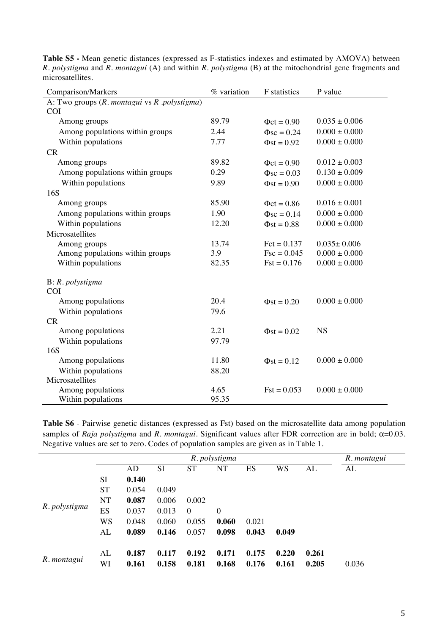| Comparison/Markers                               | % variation | F statistics     | P value           |
|--------------------------------------------------|-------------|------------------|-------------------|
| A: Two groups $(R.$ montagui vs $R.$ polystigma) |             |                  |                   |
| <b>COI</b>                                       |             |                  |                   |
| Among groups                                     | 89.79       | $\Phi ct = 0.90$ | $0.035 \pm 0.006$ |
| Among populations within groups                  | 2.44        | $\Phi$ sc = 0.24 | $0.000 \pm 0.000$ |
| Within populations                               | 7.77        | $\Phi$ st = 0.92 | $0.000 \pm 0.000$ |
| CR                                               |             |                  |                   |
| Among groups                                     | 89.82       | $\Phi$ ct = 0.90 | $0.012 \pm 0.003$ |
| Among populations within groups                  | 0.29        | $\Phi$ sc = 0.03 | $0.130 \pm 0.009$ |
| Within populations                               | 9.89        | $\Phi$ st = 0.90 | $0.000 \pm 0.000$ |
| 16S                                              |             |                  |                   |
| Among groups                                     | 85.90       | $\Phi ct = 0.86$ | $0.016 \pm 0.001$ |
| Among populations within groups                  | 1.90        | $\Phi$ sc = 0.14 | $0.000 \pm 0.000$ |
| Within populations                               | 12.20       | $\Phi$ st = 0.88 | $0.000 \pm 0.000$ |
| Microsatellites                                  |             |                  |                   |
| Among groups                                     | 13.74       | $Fct = 0.137$    | $0.035 \pm 0.006$ |
| Among populations within groups                  | 3.9         | $Fsc = 0.045$    | $0.000 \pm 0.000$ |
| Within populations                               | 82.35       | $Fst = 0.176$    | $0.000 \pm 0.000$ |
| B: R. polystigma                                 |             |                  |                   |
| <b>COI</b>                                       |             |                  |                   |
| Among populations                                | 20.4        | $\Phi$ st = 0.20 | $0.000 \pm 0.000$ |
| Within populations                               | 79.6        |                  |                   |
| CR                                               |             |                  |                   |
| Among populations                                | 2.21        | $\Phi$ st = 0.02 | <b>NS</b>         |
| Within populations                               | 97.79       |                  |                   |
| 16S                                              |             |                  |                   |
| Among populations                                | 11.80       | $\Phi$ st = 0.12 | $0.000 \pm 0.000$ |
| Within populations                               | 88.20       |                  |                   |
| Microsatellites                                  |             |                  |                   |
| Among populations                                | 4.65        | $Fst = 0.053$    | $0.000 \pm 0.000$ |
| Within populations                               | 95.35       |                  |                   |

**Table S5 -** Mean genetic distances (expressed as F-statistics indexes and estimated by AMOVA) between *R. polystigma* and *R. montagui* (A) and within *R. polystigma* (B) at the mitochondrial gene fragments and microsatellites.

**Table S6** - Pairwise genetic distances (expressed as Fst) based on the microsatellite data among population samples of *Raja polystigma* and *R. montagui*. Significant values after FDR correction are in bold; α=0.03. Negative values are set to zero. Codes of population samples are given as in Table 1.

|               |           | R. montagui |           |           |                  |       |       |       |       |
|---------------|-----------|-------------|-----------|-----------|------------------|-------|-------|-------|-------|
|               |           | AD          | <b>SI</b> | <b>ST</b> | <b>NT</b>        | ES    | WS    | AL    | AL    |
|               | SI        | 0.140       |           |           |                  |       |       |       |       |
|               | ST        | 0.054       | 0.049     |           |                  |       |       |       |       |
|               | <b>NT</b> | 0.087       | 0.006     | 0.002     |                  |       |       |       |       |
| R. polystigma | ES        | 0.037       | 0.013     | $\theta$  | $\boldsymbol{0}$ |       |       |       |       |
|               | WS        | 0.048       | 0.060     | 0.055     | 0.060            | 0.021 |       |       |       |
|               | AL        | 0.089       | 0.146     | 0.057     | 0.098            | 0.043 | 0.049 |       |       |
| R. montagui   | AL        | 0.187       | 0.117     | 0.192     | 0.171            | 0.175 | 0.220 | 0.261 |       |
|               | WI        | 0.161       | 0.158     | 0.181     | 0.168            | 0.176 | 0.161 | 0.205 | 0.036 |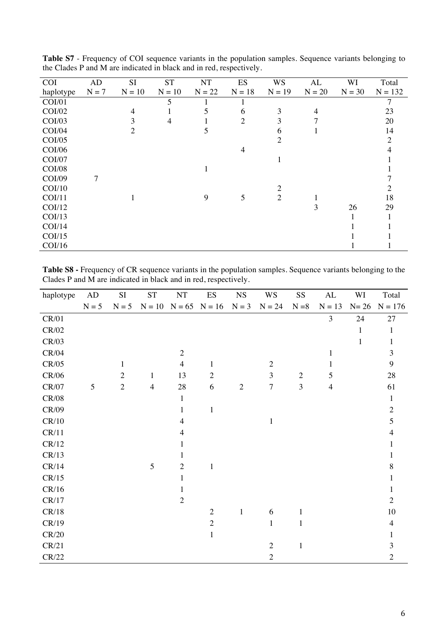| <b>COI</b>    | AD      | <b>SI</b> | <b>ST</b> | NT       | <b>ES</b>      | <b>WS</b>      | AL       | WI       | Total     |
|---------------|---------|-----------|-----------|----------|----------------|----------------|----------|----------|-----------|
| haplotype     | $N = 7$ | $N = 10$  | $N = 10$  | $N = 22$ | $N = 18$       | $N = 19$       | $N = 20$ | $N = 30$ | $N = 132$ |
| <b>COI/01</b> |         |           | 5         |          |                |                |          |          | 7         |
| <b>COI/02</b> |         | 4         |           | 5        | 6              | 3              | 4        |          | 23        |
| COI/03        |         | 3         | 4         |          | $\overline{2}$ | 3              | 7        |          | 20        |
| COI/04        |         | 2         |           | 5        |                | 6              |          |          | 14        |
| <b>COI/05</b> |         |           |           |          |                | $\overline{2}$ |          |          | 2         |
| <b>COI/06</b> |         |           |           |          | $\overline{4}$ |                |          |          | 4         |
| <b>COI/07</b> |         |           |           |          |                |                |          |          |           |
| <b>COI/08</b> |         |           |           |          |                |                |          |          |           |
| COI/09        | 7       |           |           |          |                |                |          |          |           |
| COI/10        |         |           |           |          |                | $\overline{c}$ |          |          |           |
| COI/11        |         |           |           | 9        | 5              | $\overline{2}$ |          |          | 18        |
| COI/12        |         |           |           |          |                |                | 3        | 26       | 29        |
| COI/13        |         |           |           |          |                |                |          |          |           |
| COI/14        |         |           |           |          |                |                |          |          |           |
| COI/15        |         |           |           |          |                |                |          |          |           |
| COI/16        |         |           |           |          |                |                |          |          |           |

**Table S7** - Frequency of COI sequence variants in the population samples. Sequence variants belonging to the Clades P and M are indicated in black and in red, respectively.

**Table S8 -** Frequency of CR sequence variants in the population samples. Sequence variants belonging to the Clades P and M are indicated in black and in red, respectively.

| haplotype | AD      | $\rm SI$       | ${\cal S}{\cal T}$         | $\rm{NT}$      | ES             | <b>NS</b>      | <b>WS</b>      | SS           | $\mathrm{AL}$  | WI     | Total          |
|-----------|---------|----------------|----------------------------|----------------|----------------|----------------|----------------|--------------|----------------|--------|----------------|
|           | $N = 5$ | $N = 5$        | $N = 10$ $N = 65$ $N = 16$ |                |                | $N = 3$        | $N = 24$       | $N = 8$      | $N = 13$       | $N=26$ | $N = 176$      |
| CR/01     |         |                |                            |                |                |                |                |              | 3              | 24     | 27             |
| CR/02     |         |                |                            |                |                |                |                |              |                | 1      | 1              |
| CR/03     |         |                |                            |                |                |                |                |              |                | 1      | 1              |
| CR/04     |         |                |                            | $\overline{2}$ |                |                |                |              | 1              |        | 3              |
| CR/05     |         | 1              |                            | $\overline{4}$ | $\mathbf{1}$   |                | $\overline{2}$ |              |                |        | 9              |
| CR/06     |         | $\overline{2}$ | $\mathbf{1}$               | 13             | $\overline{2}$ |                | 3              | $\sqrt{2}$   | 5              |        | $28\,$         |
| CR/07     | 5       | $\overline{2}$ | $\overline{4}$             | $28\,$         | 6              | $\overline{2}$ | $\overline{7}$ | 3            | $\overline{4}$ |        | 61             |
| CR/08     |         |                |                            | $\mathbf{1}$   |                |                |                |              |                |        | $\mathbf{1}$   |
| CR/09     |         |                |                            | 1              | $\mathbf{1}$   |                |                |              |                |        | $\overline{2}$ |
| CR/10     |         |                |                            | 4              |                |                | $\mathbf{1}$   |              |                |        | 5              |
| CR/11     |         |                |                            | 4              |                |                |                |              |                |        | 4              |
| CR/12     |         |                |                            | 1              |                |                |                |              |                |        |                |
| CR/13     |         |                |                            | 1              |                |                |                |              |                |        |                |
| CR/14     |         |                | 5                          | $\overline{2}$ | $\mathbf{1}$   |                |                |              |                |        | 8              |
| CR/15     |         |                |                            | 1              |                |                |                |              |                |        | 1              |
| CR/16     |         |                |                            | 1              |                |                |                |              |                |        |                |
| CR/17     |         |                |                            | $\overline{2}$ |                |                |                |              |                |        | $\overline{2}$ |
| CR/18     |         |                |                            |                | $\overline{2}$ | $\mathbf{1}$   | 6              | $\mathbf{1}$ |                |        | 10             |
| CR/19     |         |                |                            |                | $\sqrt{2}$     |                | $\mathbf{1}$   | 1            |                |        | $\overline{4}$ |
| CR/20     |         |                |                            |                | $\mathbf{1}$   |                |                |              |                |        | 1              |
| CR/21     |         |                |                            |                |                |                | $\overline{2}$ | $\mathbf{1}$ |                |        | 3              |
| CR/22     |         |                |                            |                |                |                | $\overline{2}$ |              |                |        | $\overline{2}$ |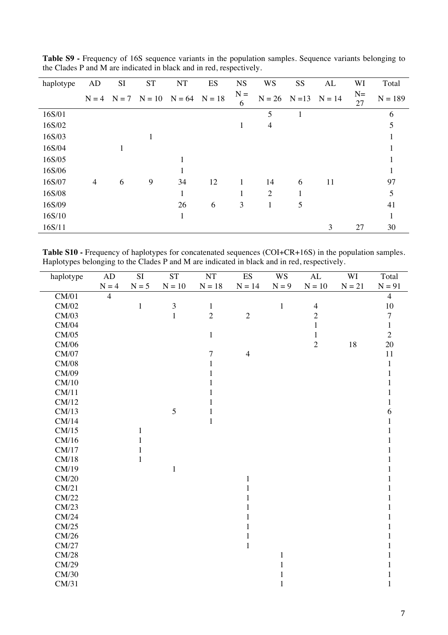| haplotype | AD             | <b>SI</b> | <b>ST</b> | <b>NT</b>                                  | ES | <b>NS</b>  | <b>WS</b>         | <b>SS</b> | AL       | WI          | Total     |
|-----------|----------------|-----------|-----------|--------------------------------------------|----|------------|-------------------|-----------|----------|-------------|-----------|
|           |                |           |           | $N = 4$ $N = 7$ $N = 10$ $N = 64$ $N = 18$ |    | $N =$<br>6 | $N = 26$ $N = 13$ |           | $N = 14$ | $N =$<br>27 | $N = 189$ |
| 16S/01    |                |           |           |                                            |    |            | 5                 | 1         |          |             | 6         |
| 16S/02    |                |           |           |                                            |    | 1          | 4                 |           |          |             | 5         |
| 16S/03    |                |           |           |                                            |    |            |                   |           |          |             |           |
| 16S/04    |                | 1         |           |                                            |    |            |                   |           |          |             |           |
| 16S/05    |                |           |           |                                            |    |            |                   |           |          |             |           |
| 16S/06    |                |           |           |                                            |    |            |                   |           |          |             |           |
| 16S/07    | $\overline{4}$ | 6         | 9         | 34                                         | 12 | 1          | 14                | 6         | 11       |             | 97        |
| 16S/08    |                |           |           | 1                                          |    | 1          | $\overline{2}$    |           |          |             | 5         |
| 16S/09    |                |           |           | 26                                         | 6  | 3          | 1                 | 5         |          |             | 41        |
| 16S/10    |                |           |           | L.                                         |    |            |                   |           |          |             |           |
| 16S/11    |                |           |           |                                            |    |            |                   |           | 3        | 27          | 30        |

**Table S9 -** Frequency of 16S sequence variants in the population samples. Sequence variants belonging to the Clades P and M are indicated in black and in red, respectively.

Table S10 - Frequency of haplotypes for concatenated sequences (COI+CR+16S) in the population samples. Haplotypes belonging to the Clades P and M are indicated in black and in red, respectively.

| haplotype | $\rm{AD}$      | $\overline{SI}$ | $\overline{\text{ST}}$ | NT             | <b>ES</b>      | <b>WS</b>    | $\mathrm{AL}$  | WI       | Total          |
|-----------|----------------|-----------------|------------------------|----------------|----------------|--------------|----------------|----------|----------------|
|           | $\mathbf{N}=4$ | $N = 5$         | $N = 10$               | $N = 18$       | $N = 14$       | $N = 9$      | $N = 10$       | $N = 21$ | $N = 91$       |
| CM/01     | $\overline{4}$ |                 |                        |                |                |              |                |          | $\overline{4}$ |
| CM/02     |                | $\mathbf 1$     | $\mathfrak{Z}$         | $\,1\,$        |                | $\,1\,$      | $\overline{4}$ |          | $10\,$         |
| CM/03     |                |                 | $\mathbf{1}$           | $\overline{2}$ | $\overline{2}$ |              | $\overline{c}$ |          | $\tau$         |
| CM/04     |                |                 |                        |                |                |              | $\mathbf{1}$   |          | $\mathbf{1}$   |
| CM/05     |                |                 |                        | $\mathbf{1}$   |                |              | $\mathbf{1}$   |          | $\overline{2}$ |
| CM/06     |                |                 |                        |                |                |              | $\overline{2}$ | 18       | 20             |
| CM/07     |                |                 |                        | 7              | $\overline{4}$ |              |                |          | 11             |
| CM/08     |                |                 |                        | 1              |                |              |                |          | 1              |
| CM/09     |                |                 |                        | 1              |                |              |                |          |                |
| CM/10     |                |                 |                        | 1              |                |              |                |          |                |
| CM/11     |                |                 |                        | 1              |                |              |                |          |                |
| CM/12     |                |                 |                        | 1              |                |              |                |          | 1              |
| CM/13     |                |                 | 5                      | $\mathbf{1}$   |                |              |                |          | 6              |
| CM/14     |                |                 |                        | $\mathbf{1}$   |                |              |                |          |                |
| CM/15     |                | $\mathbf{1}$    |                        |                |                |              |                |          |                |
| CM/16     |                | 1               |                        |                |                |              |                |          |                |
| CM/17     |                | 1               |                        |                |                |              |                |          | 1              |
| CM/18     |                | $\mathbf{1}$    |                        |                |                |              |                |          |                |
| CM/19     |                |                 | $\mathbf{1}$           |                |                |              |                |          |                |
| CM/20     |                |                 |                        |                | 1              |              |                |          |                |
| CM/21     |                |                 |                        |                |                |              |                |          |                |
| CM/22     |                |                 |                        |                | 1              |              |                |          |                |
| CM/23     |                |                 |                        |                |                |              |                |          |                |
| CM/24     |                |                 |                        |                |                |              |                |          |                |
| CM/25     |                |                 |                        |                |                |              |                |          |                |
| CM/26     |                |                 |                        |                | 1              |              |                |          |                |
| CM/27     |                |                 |                        |                | $\mathbf{1}$   |              |                |          |                |
| CM/28     |                |                 |                        |                |                | 1            |                |          |                |
| CM/29     |                |                 |                        |                |                | 1            |                |          |                |
| CM/30     |                |                 |                        |                |                | 1            |                |          | 1              |
| CM/31     |                |                 |                        |                |                | $\mathbf{1}$ |                |          | $\mathbf{1}$   |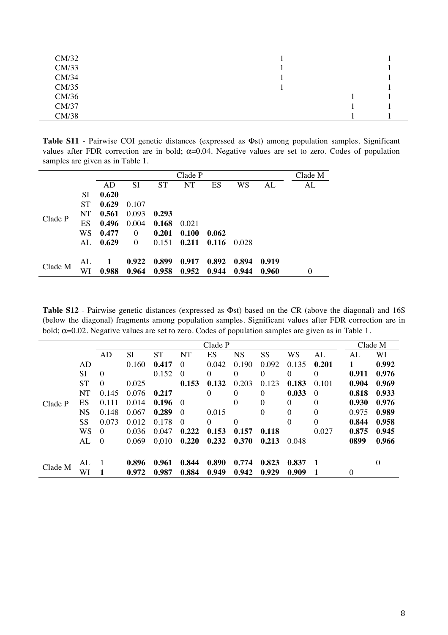| CM/32 |  |  |
|-------|--|--|
| CM/33 |  |  |
| CM/34 |  |  |
| CM/35 |  |  |
| CM/36 |  |  |
| CM/37 |  |  |
| CM/38 |  |  |

**Table S11** - Pairwise COI genetic distances (expressed as Φst) among population samples. Significant values after FDR correction are in bold;  $\alpha$ =0.04. Negative values are set to zero. Codes of population samples are given as in Table 1.

|         |           |       | Clade P  |           |       |       |        |       |    |  |  |  |  |
|---------|-----------|-------|----------|-----------|-------|-------|--------|-------|----|--|--|--|--|
|         |           | AD    | SI       | <b>ST</b> | NT    | ES    | WS     | AL    | AL |  |  |  |  |
| Clade P | SI        | 0.620 |          |           |       |       |        |       |    |  |  |  |  |
|         | <b>ST</b> | 0.629 | 0.107    |           |       |       |        |       |    |  |  |  |  |
|         | NT.       | 0.561 | 0.093    | 0.293     |       |       |        |       |    |  |  |  |  |
|         | ES        | 0.496 | 0.004    | 0.168     | 0.021 |       |        |       |    |  |  |  |  |
|         | <b>WS</b> | 0.477 | $\Omega$ | 0.201     | 0.100 | 0.062 |        |       |    |  |  |  |  |
|         | AL.       | 0.629 | $\Omega$ | 0.151     | 0.211 | 0.116 | -0.028 |       |    |  |  |  |  |
| Clade M | AL        | 1     | 0.922    | 0.899     | 0.917 | 0.892 | 0.894  | 0.919 |    |  |  |  |  |
|         | WI        | 0.988 | 0.964    | 0.958     | 0.952 | 0.944 | 0.944  | 0.960 | 0  |  |  |  |  |

**Table S12** - Pairwise genetic distances (expressed as Φst) based on the CR (above the diagonal) and 16S (below the diagonal) fragments among population samples. Significant values after FDR correction are in bold;  $\alpha$ =0.02. Negative values are set to zero. Codes of population samples are given as in Table 1.

|         |           | Clade P  |       |       |          |          |                  |          |                  |          | Clade M  |       |
|---------|-----------|----------|-------|-------|----------|----------|------------------|----------|------------------|----------|----------|-------|
|         |           | AD       | SI    | ST    | NT       | ES       | NS               | SS       | WS               | AL       | AL       | WI    |
| Clade P | AD        |          | 0.160 | 0.417 | $\Omega$ | 0.042    | 0.190            | 0.092    | 0.135            | 0.201    |          | 0.992 |
|         | SI        | $\theta$ |       | 0.152 | $\theta$ | $\theta$ | 0                | 0        | $\theta$         | $\theta$ | 0.911    | 0.976 |
|         | <b>ST</b> | $\theta$ | 0.025 |       | 0.153    | 0.132    | 0.203            | 0.123    | 0.183            | 0.101    | 0.904    | 0.969 |
|         | <b>NT</b> | 0.145    | 0.076 | 0.217 |          | $\theta$ | 0                | $\theta$ | 0.033            | $\theta$ | 0.818    | 0.933 |
|         | ES        | 0.111    | 0.014 | 0.196 | $\Omega$ |          | 0                | $\theta$ | $\theta$         | $\Omega$ | 0.930    | 0.976 |
|         | <b>NS</b> | 0.148    | 0.067 | 0.289 | $\Omega$ | 0.015    |                  | $\theta$ | $\theta$         | $\theta$ | 0.975    | 0.989 |
|         | SS        | 0.073    | 0.012 | 0.178 | $\Omega$ | $\theta$ | $\boldsymbol{0}$ |          | $\boldsymbol{0}$ | $\theta$ | 0.844    | 0.958 |
|         | WS        | $\Omega$ | 0.036 | 0.047 | 0.222    | 0.153    | 0.157            | 0.118    |                  | 0.027    | 0.875    | 0.945 |
|         | AL        | $\theta$ | 0.069 | 0,010 | 0.220    | 0.232    | 0.370            | 0.213    | 0.048            |          | 0899     | 0.966 |
|         |           |          |       |       |          |          |                  |          |                  |          |          |       |
| Clade M | AL        |          | 0.896 | 0.961 | 0.844    | 0.890    | 0.774            | 0.823    | 0.837            |          |          | 0     |
|         | WI        |          | 0.972 | 0.987 | 0.884    | 0.949    | 0.942            | 0.929    | 0.909            |          | $\theta$ |       |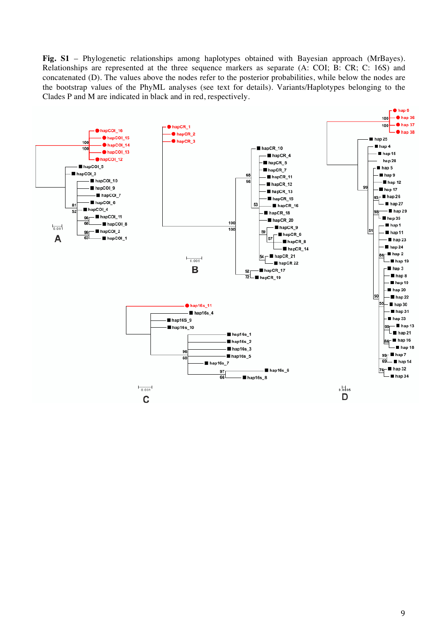**Fig. S1** – Phylogenetic relationships among haplotypes obtained with Bayesian approach (MrBayes). Relationships are represented at the three sequence markers as separate (A: COI; B: CR; C: 16S) and concatenated (D). The values above the nodes refer to the posterior probabilities, while below the nodes are the bootstrap values of the PhyML analyses (see text for details). Variants/Haplotypes belonging to the Clades P and M are indicated in black and in red, respectively.

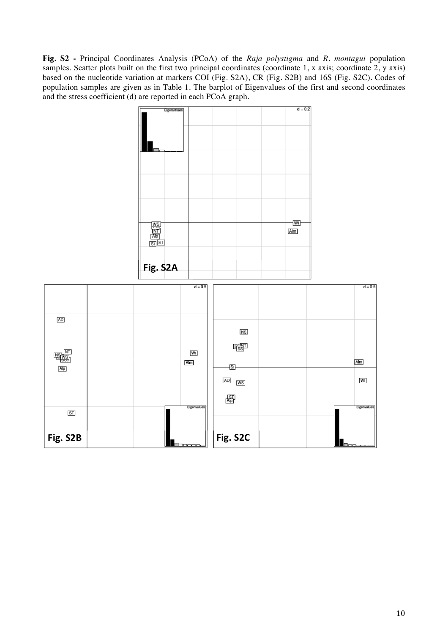**Fig. S2 -** Principal Coordinates Analysis (PCoA) of the *Raja polystigma* and *R. montagui* population samples. Scatter plots built on the first two principal coordinates (coordinate 1, x axis; coordinate 2, y axis) based on the nucleotide variation at markers COI (Fig. S2A), CR (Fig. S2B) and 16S (Fig. S2C). Codes of population samples are given as in Table 1. The barplot of Eigenvalues of the first and second coordinates and the stress coefficient (d) are reported in each PCoA graph.

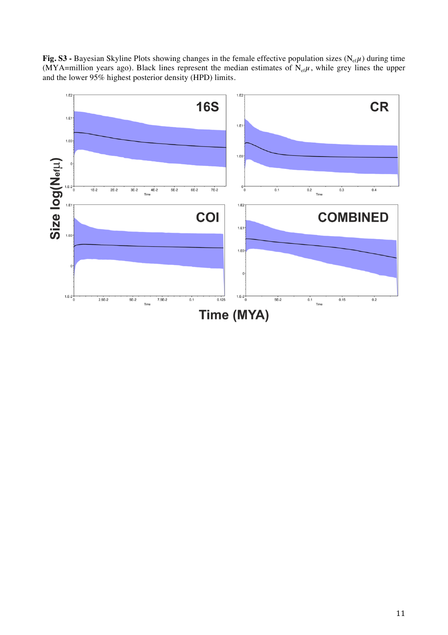Fig. S3 - Bayesian Skyline Plots showing changes in the female effective population sizes (N<sub>ef</sub>µ) during time (MYA=million years ago). Black lines represent the median estimates of  $N_{\text{ef}}\mu$ , while grey lines the upper and the lower 95% highest posterior density (HPD) limits.

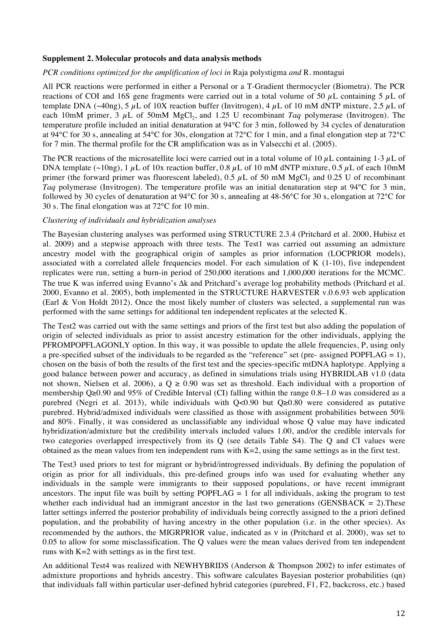#### **Supplement 2. Molecular protocols and data analysis methods**

#### *PCR conditions optimized for the amplification of loci in* Raja polystigma *and* R. montagui

All PCR reactions were performed in either a Personal or a T-Gradient thermocycler (Biometra). The PCR reactions of COI and 16S gene fragments were carried out in a total volume of 50  $\mu$ L containing 5  $\mu$ L of template DNA ( $\sim$ 40ng), 5  $\mu$ L of 10X reaction buffer (Invitrogen), 4  $\mu$ L of 10 mM dNTP mixture, 2.5  $\mu$ L of each 10mM primer, 3  $\mu$ L of 50mM MgCl<sub>2</sub>, and 1.25 U recombinant *Taq* polymerase (Invitrogen). The temperature profile included an initial denaturation at 94°C for 3 min, followed by 34 cycles of denaturation at 94°C for 30 s, annealing at 54°C for 30s, elongation at 72°C for 1 min, and a final elongation step at 72°C for 7 min. The thermal profile for the CR amplification was as in Valsecchi et al. (2005).

The PCR reactions of the microsatellite loci were carried out in a total volume of 10  $\mu$ L containing 1-3  $\mu$ L of DNA template (~10ng), 1  $\mu$ L of 10x reaction buffer, 0.8  $\mu$ L of 10 mM dNTP mixture, 0.5  $\mu$ L of each 10mM primer (the forward primer was fluorescent labeled),  $0.5 \mu L$  of 50 mM MgCl<sub>2</sub> and 0.25 U of recombinant *Taq* polymerase (Invitrogen). The temperature profile was an initial denaturation step at 94°C for 3 min, followed by 30 cycles of denaturation at 94°C for 30 s, annealing at 48-56°C for 30 s, elongation at 72°C for 30 s. The final elongation was at 72°C for 10 min.

### *Clustering of individuals and hybridization analyses*

The Bayesian clustering analyses was performed using STRUCTURE 2.3.4 (Pritchard et al. 2000, Hubisz et al. 2009) and a stepwise approach with three tests. The Test1 was carried out assuming an admixture ancestry model with the geographical origin of samples as prior information (LOCPRIOR models), associated with a correlated allele frequencies model. For each simulation of K (1-10), five independent replicates were run, setting a burn-in period of 250,000 iterations and 1,000,000 iterations for the MCMC. The true K was inferred using Evanno's Δk and Pritchard's average log probability methods (Pritchard et al. 2000, Evanno et al. 2005), both implemented in the STRUCTURE HARVESTER v.0.6.93 web application (Earl & Von Holdt 2012). Once the most likely number of clusters was selected, a supplemental run was performed with the same settings for additional ten independent replicates at the selected K.

The Test2 was carried out with the same settings and priors of the first test but also adding the population of origin of selected individuals as prior to assist ancestry estimation for the other individuals, applying the PFROMPOPFLAGONLY option. In this way, it was possible to update the allele frequencies, P, using only a pre-specified subset of the individuals to be regarded as the "reference" set (pre- assigned POPFLAG = 1), chosen on the basis of both the results of the first test and the species-specific mtDNA haplotype. Applying a good balance between power and accuracy, as defined in simulations trials using HYBRIDLAB v1.0 (data not shown, Nielsen et al. 2006), a  $Q \ge 0.90$  was set as threshold. Each individual with a proportion of membership Q≥0.90 and 95% of Credible Interval (CI) falling within the range 0.8–1.0 was considered as a purebred (Negri et al. 2013), while individuals with Q<0.90 but Q≥0.80 were considered as putative purebred. Hybrid/admixed individuals were classified as those with assignment probabilities between 50% and 80%. Finally, it was considered as unclassifiable any individual whose Q value may have indicated hybridization/admixture but the credibility intervals included values 1.00, and/or the credible intervals for two categories overlapped irrespectively from its Q (see details Table S4). The Q and CI values were obtained as the mean values from ten independent runs with  $K=2$ , using the same settings as in the first test.

The Test3 used priors to test for migrant or hybrid/introgressed individuals. By defining the population of origin as prior for all individuals, this pre-defined groups info was used for evaluating whether any individuals in the sample were immigrants to their supposed populations, or have recent immigrant ancestors. The input file was built by setting  $POPFLAG = 1$  for all individuals, asking the program to test whether each individual had an immigrant ancestor in the last two generations (GENSBACK = 2). These latter settings inferred the posterior probability of individuals being correctly assigned to the a priori defined population, and the probability of having ancestry in the other population (i.e. in the other species). As recommended by the authors, the MIGRPRIOR value, indicated as ν in (Pritchard et al. 2000), was set to 0.05 to allow for some misclassification. The Q values were the mean values derived from ten independent runs with  $K=2$  with settings as in the first test.

An additional Test4 was realized with NEWHYBRIDS (Anderson & Thompson 2002) to infer estimates of admixture proportions and hybrids ancestry. This software calculates Bayesian posterior probabilities (qn) that individuals fall within particular user-defined hybrid categories (purebred, F1, F2, backcross, etc.) based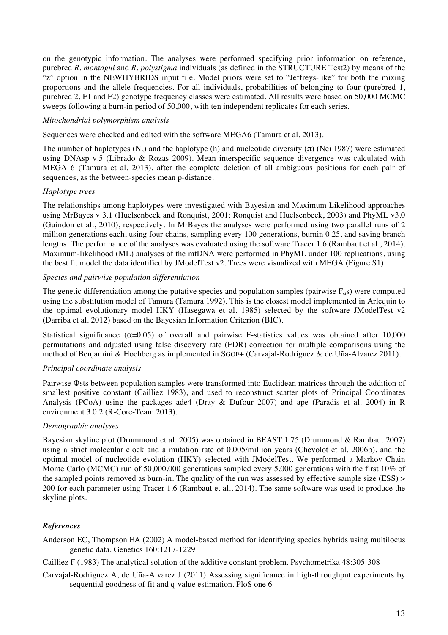on the genotypic information. The analyses were performed specifying prior information on reference, purebred *R. montagui* and *R. polystigma* individuals (as defined in the STRUCTURE Test2) by means of the "z" option in the NEWHYBRIDS input file. Model priors were set to "Jeffreys-like" for both the mixing proportions and the allele frequencies. For all individuals, probabilities of belonging to four (purebred 1, purebred 2, F1 and F2) genotype frequency classes were estimated. All results were based on 50,000 MCMC sweeps following a burn-in period of 50,000, with ten independent replicates for each series.

## *Mitochondrial polymorphism analysis*

Sequences were checked and edited with the software MEGA6 (Tamura et al. 2013).

The number of haplotypes  $(N_h)$  and the haplotype (h) and nucleotide diversity ( $\pi$ ) (Nei 1987) were estimated using DNAsp v.5 (Librado & Rozas 2009). Mean interspecific sequence divergence was calculated with MEGA 6 (Tamura et al. 2013), after the complete deletion of all ambiguous positions for each pair of sequences, as the between-species mean p-distance.

## *Haplotype trees*

The relationships among haplotypes were investigated with Bayesian and Maximum Likelihood approaches using MrBayes v 3.1 (Huelsenbeck and Ronquist, 2001; Ronquist and Huelsenbeck, 2003) and PhyML v3.0 (Guindon et al., 2010), respectively. In MrBayes the analyses were performed using two parallel runs of 2 million generations each, using four chains, sampling every 100 generations, burnin 0.25, and saving branch lengths. The performance of the analyses was evaluated using the software Tracer 1.6 (Rambaut et al., 2014). Maximum-likelihood (ML) analyses of the mtDNA were performed in PhyML under 100 replications, using the best fit model the data identified by JModelTest v2. Trees were visualized with MEGA (Figure S1).

## *Species and pairwise population differentiation*

The genetic differentiation among the putative species and population samples (pairwise  $F_{st}$ s) were computed using the substitution model of Tamura (Tamura 1992). This is the closest model implemented in Arlequin to the optimal evolutionary model HKY (Hasegawa et al. 1985) selected by the software JModelTest v2 (Darriba et al. 2012) based on the Bayesian Information Criterion (BIC).

Statistical significance ( $\alpha$ =0.05) of overall and pairwise F-statistics values was obtained after 10,000 permutations and adjusted using false discovery rate (FDR) correction for multiple comparisons using the method of Benjamini & Hochberg as implemented in SGOF+ (Carvajal-Rodriguez & de Uña-Alvarez 2011).

# *Principal coordinate analysis*

Pairwise Φsts between population samples were transformed into Euclidean matrices through the addition of smallest positive constant (Cailliez 1983), and used to reconstruct scatter plots of Principal Coordinates Analysis (PCoA) using the packages ade4 (Dray & Dufour 2007) and ape (Paradis et al. 2004) in R environment 3.0.2 (R-Core-Team 2013).

# *Demographic analyses*

Bayesian skyline plot (Drummond et al. 2005) was obtained in BEAST 1.75 (Drummond & Rambaut 2007) using a strict molecular clock and a mutation rate of 0.005/million years (Chevolot et al. 2006b), and the optimal model of nucleotide evolution (HKY) selected with JModelTest. We performed a Markov Chain Monte Carlo (MCMC) run of 50,000,000 generations sampled every 5,000 generations with the first 10% of the sampled points removed as burn-in. The quality of the run was assessed by effective sample size (ESS) > 200 for each parameter using Tracer 1.6 (Rambaut et al., 2014). The same software was used to produce the skyline plots.

# *References*

Anderson EC, Thompson EA (2002) A model-based method for identifying species hybrids using multilocus genetic data. Genetics 160:1217-1229

Cailliez F (1983) The analytical solution of the additive constant problem. Psychometrika 48:305-308

Carvajal-Rodriguez A, de Uña-Alvarez J (2011) Assessing significance in high-throughput experiments by sequential goodness of fit and q-value estimation. PloS one 6